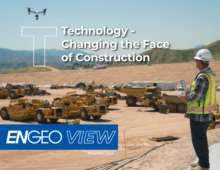

## **Technology - Changing the Face of Construction**

# ENGEO VIIEW

**November 2019**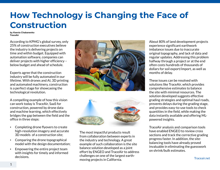### **How Technology is Changing the Face of Construction**

#### **by Ksenia Chabanenko TraceAir**

According to KPMG's global survey, only 25% of construction executives believe the industry is delivering projects on time and within budget. Equipped with automation software, companies can deliver projects with higher efficiency – below budget and ahead of schedule.

Experts agree that the construction industry will be fully automated in our lifetime. With drones and AI, 3D printing and automated machinery, construction is a perfect stage for showcasing the technological revolution.

A compelling example of how this vision can work today is TraceAir, SaaS for construction, powered by drone data and machine learning, which effectively bridges the gap between the field and the office in three steps:

- • Completing drone flyovers to create high-resolution imagery and accurate 3D models of a construction site;
- • Comparing the drone topographical model with the design documentation;
- • Empowering the entire project team with insights for timely and informed decisions.





The most impactful products result from collaboration between experts in the industry and technology. A great example of such collaboration is the site balance solution developed as a joint effort by ENGEO and TraceAir to address challenges on one of the largest earthmoving projects in California.

About 80% of land development projects experience significant earthwork imbalance issues due to inaccurate original topography, and lack of data and regular updates. Addressing this problem halfway through a project or at the end often costs hundreds of thousands of dollars for soil export/import, as well as months of delay.

These issues can be resolved with solutions like TraceAir, which provides comprehensive estimates to balance the site with minimal resources. The solution developed suggests effective grading strategies and optimal haul roads, prevents delays during the grading stage, and provides easy-to-use tools to check quantities in the field, while making the data instantly available and offering MLpowered insights.

TraceAir analysis and comparison tools have enabled ENGEO to review cross sections and track the corrective grading progress faster. In addition, the sitebalancing tools have already proved invaluable in eliminating the guesswork on shrink/bulk estimates.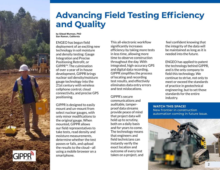

### **Advancing Field Testing Efficiency and Quality**

**by Gilead Wurman, PhD San Ramon, California**

ENGEO has begun field deployment of an exciting new technology in soil moisture and density testing: Gauge Integration and Precise Positioning Retrofit, or GIPPR™. The culmination of over a year of in-house development, GIPPR brings nuclear soil density/moisture gauge technology into the 21st century with wireless cellphone control, cloud connectivity, and precise GPS positioning.

GIPPR is designed to easily mount and un-mount from select nuclear gauges, with only minor modifications to the original gauge. When mounted, GIPPR allows our field representatives to take tests, read density and moisture measurements, determine whether the test passes or fails, and upload the results to the cloud—all using a mobile browser on a smartphone.

This all-electronic workflow significantly increases efficiency by taking more tests in less time, allowing more time to observe construction throughout the day. With integrated, high-accuracy GPS and digital data recording, GIPPR simplifies the process of locating and recording test results, and effectively eliminates data entry errors and test mislocations.

GIPPR's secure communications and auditable, tamperproof data streams provide peace of mind that project data will hold up to scrutiny, both on a daily basis and for years to come. The technology means that engineers and field technicians can instantly verify the exact location and outcome of every test taken on a project, and

 feel confident knowing that the integrity of the data will be maintained as long as it is needed into the future.

ENGEO has applied to patent the technology behind GIPPR, and is the only company to field this technology. We continue to strive, not only to meet or exceed the standards of practice in geotechnical engineering, but to set those standards for the entire industry.

**Watch this space!**  New frontier in construction automation coming in future issue.

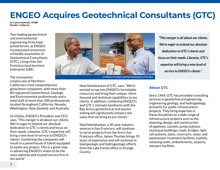### **ENGEO Acquires Geotechnical Consultants (GTC)**

**by Carrie Andreotti, CPSM Rocklin, California**

Two leading geotechnical and environmental engineering firms have joined forces, as ENGEO Incorporated announces a friendly acquisition of Geotechnical Consultants (GTC), a long-time San Francisco local business enterprise (LBE).

The transaction creates one of Northern California's most comprehensive geoscience companies, with more than 80 registered Geotechnical, Geologic and Environmental professionals and a total staff of more than 300 professionals located throughout California, Nevada, Washington, New Zealand, and Australia.

Uri Eliahu, ENGEO's President and CEO, says, "This merger is all about our clients. We're eager to extend our absolute dedication to GTC's clients and focus on their needs. Likewise, GTC's expertise will bring a new level of service to ENGEO's clients. Combining the companies will result in a powerhouse of talent equipped to tackle any project. This is a great step in advancing ENGEO's vision to be the most admired and trusted service firm in the world."



**Uri Eliahu, President and Neel Neelakantan, Principal**

Neel Neelakantan of GTC, says, "We're excited to tap into ENGEO's formidable resources and bring their unique, clientfocused and technical capabilities to our clients. In addition, combining ENGEO's and GTC's intimate familiarity with the Bay Area's geotechnical and seismic setting will significantly enhance the value that we bring to our clients."

Neel Neelakantan, a 30-year industry veteran in San Francisco, will continue to serve projects from the firm's San Francisco office. James Thurber brings 35 years of experience and will continue to lead geologic and hydrogeologic efforts from the Lake Forest office in Orange County.

*"This merger is all about our clients. We're eager to extend our absolute dedication to GTC's clients and focus on their needs. Likewise, GTC's expertise will bring a new level of service to ENGEO's clients."*

#### **About GTC**

Since 1964, GTC has provided consulting services in geotechnical engineering, engineering geology, and hydrogeology, primarily for public infrastructure projects. They bring expertise in these disciplines to a wide range of infrastructure projects such as the planning, design, and construction of pipelines, tunnels, pump stations, municipal buildings, roads, bridges, light rail systems, dams, reservoirs, water and wastewater treatment facilities, outfalls, retaining walls, embankments, airports, and port facilities.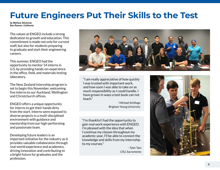### **Future Engineers Put Their Skills to the Test**

**by Melissa Glickman San Ramon, California**

The values at ENGEO include a strong dedication to growth and education. This commitment is made not only for current staff, but also for students preparing to graduate and start their engineering careers.

This summer, ENGEO had the opportunity to mentor 14 interns in U.S. by providing hands-on-experience in the office, field, and materials testing laboratory.

The New Zealand internship program is set to begin this November, welcoming five interns to our Auckland, Wellington and Christchurch offices.

ENGEO offers a unique opportunity for interns to get their hands dirty from the start. Interns were exposed to diverse projects in a multi-disciplined environment with guidance and mentorship from our high-performing and passionate team.

Developing future leaders is an important initiative for the industry as it provides valuable collaboration through real-world experience and academics, driving innovation and contributing to a bright future for graduates and the profession.



"I am really appreciative of how quickly I was trusted with important work, and how soon I was able to take on as much responsibility as I could handle. I have grown in ways a text book can not teach."

> - Michael Schillage Brigham Young University

"I'm thankful I had the opportunity to gain real work experience with ENGEO. I'm pleased with the idea that when I continue my classes throughout my academic year, I'll be able to connect the knowledge and skills from my internship to my courses."

> - Tyler Tam CSU, Sacramento

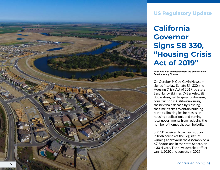

#### **U S Regulatory Update**

**California**  Governor<br>Signs SB 330, **"Housing Crisis Act of 2019"**

**Reprinted with permission from the office of State Senator Nancy Skinner.**

On October 9, Gov. Gavin Newsom signed into law Senate Bill 330, the Housing Crisis Act of 2019, by state Sen. Nancy Skinner, D-Berkeley. SB 330 is designed to speed up housing construction in California during the next half-decade by slashing the time it takes to obtain building permits, limiting fee increases on housing applications, and barring local governments from reducing the number of homes that can be built.

SB 330 received bipartisan support in both houses of the Legislature, winning approval in the Assembly on a 67-8 vote, and in the state Senate, on a 30-4 vote. The new law takes effect Jan. 1, 2020 and sunsets in 2025.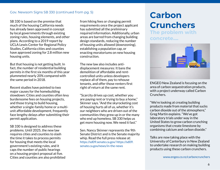#### Gov. Newsom Signs SB 330 (continued from pg. 5)

SB 330 is based on the premise that much of the housing California needs has already been approved in concept by local governments through existing zoning rules, housing elements, and other plans. According to a 2019 report by UCLA Lewis Center for Regional Policy Studies, California cities and counties have approved zoning for 2.8 million new housing units.

But that housing is not getting built. In fact, the number of residential building permits in the first six months of this year plummeted nearly 20% compared with the same period in 2018.

Recent studies have pointed to two major causes for the homebuilding slowdown: Cities and counties often levy burdensome fees on housing projects, and those trying to build housing, whether a single-family home or a multiunit affordable development, frequently face lengthy delays after submitting their permit application.

SB 330 is designed to address these problems. Until 2025, the new law requires cities and counties to slash the time it takes to process permits for housing that meets the local government's existing rules, and it caps the number of public hearings on a housing project proposal at five. Cities and counties are also prohibited from hiking fees or changing permit requirements once the project applicant has submitted all the preliminary required information. Additionally, urban areas are barred from changing building design standards, reducing the number of housing units allowed (downzoning), establishing a population cap, or enacting moratoriums on new housing construction.

The new law also includes antidisplacement measures: It bans the demolition of affordable and rentcontrolled units unless developers replace all of them, pay to rehouse tenants, and offer those renters first right of return at the same rent.

"Scarcity drives up cost, whether you are paying rent or trying to buy a home," Skinner says. "And the skyrocketing cost of housing hurts all of us, whether it's our neighbors who are driven out of the communities they grew up in or the many who end up homeless. SB 330 helps us get more housing now. We need it fast."

Sen. Nancy Skinner represents the 9th Senate District and is the Senate majority whip. Read the full press release at: https://sd09.senate.ca.gov/ https://sd09. senate.ca.gov/news/in-the-news

### **Carbon Crunchers**

**The problem with concrete....**



ENGEO New Zealand is focusing on the area of carbon sequestration products, with a project underway called Carbon Crunchers.

"We're looking at creating building products made from material that sucks carbon dioxide out of the atmosphere," Greg Martin explains. "We've got laboratory trials under way in the United States to grow carbon crunching organisms that create limestone by combining calcium and carbon dioxide."

Talks are now taking place with the University of Canterbury in New Zealand to undertake research on making building products using these carbon crunchers.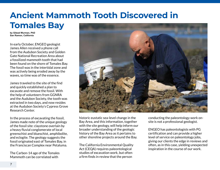### **Ancient Mammoth Tooth Discovered in Tomales Bay**

**by Gilead Wurman, PhD San Ramon, California**

In early October, ENGEO geologist James Allen received a phone call from the Audubon Society and Golden Gate National Recreation Area about a fossilized mammoth tooth that had been found on the shore of Tomales Bay. The fossil was in the intertidal zone and was actively being eroded away by the waves, so time was of the essence.

James traveled to the site of the find and quickly established a plan to excavate and remove the fossil. With the help of volunteers from GGNRA and the Audubon Society, the tooth was extracted in two days, and now resides at the Audubon Society's Cypress Grove Research Center.

In the process of excavating the fossil, James made note of the unique geology of the fossil site: claystone overlain by a heavy fluvial conglomerate of local greenschist and blueschist, amphibolite, and eclogite. The geology suggests the fossil originated east of Tomales Bay, in the Franciscan Complex near Petaluma.

The Carbon-14 age of the Tomales Mammoth can be correlated with



historic eustatic sea-level change in the Bay Area, and this information, together with the site geology, will help inform our broader understanding of the geologic history of the Bay Area as it pertains to other shoreline projects around the Bay.

The California Environmental Quality Act (CEQA) requires paleontological studies of excavation work, but often a firm finds in review that the person

conducting the paleontology work onsite is not a professional geologist.

ENGEO has paleontologists with PG certification and can provide a higher level of service on paleontology jobs, giving our clients the edge in reviews and often, as in this case, yielding unexpected inspiration in the course of our work.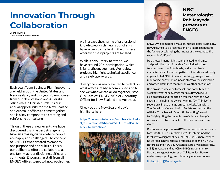### **Innovation Through Collaboration**

**Joanne Lynch Christchurch, New Zealand**



Each year, Team Business Planning events are held in both the United States and New Zealand, and this year 75 employees from our New Zealand and Australia offices met in Christchurch. It's our annual opportunity for the New Zealand and Australia offices to come together and is a key component to creating and reinforcing our culture.

Through these annual events, we have discovered that the best strategy is to have an amazing culture where people are happy and challenged. The concept of ONEGEO was created to embody one purpose and one culture. This is our deliberate effort to collaborate as one family, across disciplines, cities and continents. Encouraging staff from all ENGEO offices to get to know each other, we increase the sharing of professional knowledge, which means our clients have access to the best in the business wherever their projects are located.

While it's voluntary to attend, we have around 90% participation, which is fantastic engagement. We review projects, highlight technical excellence, and celebrate awards.

"Everyone was really excited to reflect on what we've already accomplished and to see we what we can all do together," says Guy Cassidy, ENGEO's Chief Operating Officer for New Zealand and Australia.

Check out the New Zealand day's highlights here:

https://www.youtube.com/watch?v=SmAgd6 3jjfU&version=3&hl=en%5FUS&rel=0&auto hide=1&autoplay=1





**NBC Meteorologist Rob Mayeda presents at ENGEO**

ENGEO welcomed Rob Mayeda, meteorologist with NBC Bay Area, to give a presentation on climate change and the factors accelerating the impact of the extended fire seasons in California.

Rob showed many highly sophisticated, real-time, and predictive graphic models for wind velocities, temperatures, humidity levels, and atmospheric characteristics of weather patterns. His talk was directly applicable to ENGEO's work involving geologic hazard monitoring, construction-phase stormwater, excavation, and other disciplines that rely on weather predictions.

Rob provides weekend forecasts and contributes to weekday weather coverage for NBC Bay Area. He also produces and reports on weather-related news specials, including the award-winning "On Thin Ice," a report on climate change affecting Alaska's glaciers. The American Meteorological Society recognized this with its "Excellence in Scientific Reporting" award for "highlighting the importance of climate change's relevance to future impacts to the San Francisco Bay Area."

Rob's career began as an ABC News production associate for "20/20" and "Primetime Live." He later joined the local news assignment desk at KNBC in Burbank, where he worked in news special projects also seen on CNBC. Before calling NBC Bay Area home, Rob worked at KIRO (CBS) in Seattle and at KCRA (NBC) in Sacramento. Rob is also a guest lecturer at Cal State East Bay for meteorology, geology and planetary science courses.

Follow Rob @RobMayeda